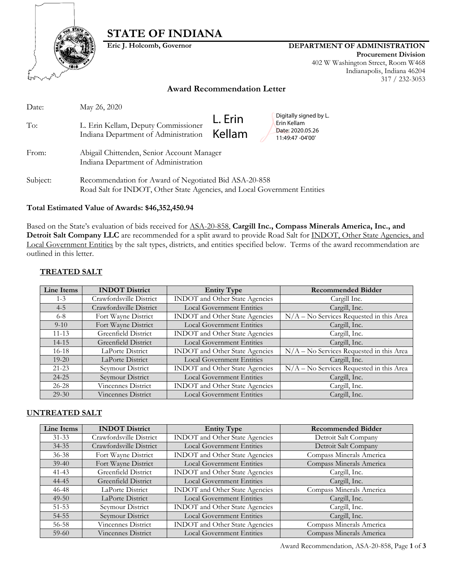

# **STATE OF INDIANA**

## **Eric J. Holcomb, Governor DEPARTMENT OF ADMINISTRATION**

**Procurement Division** 402 W Washington Street, Room W468 Indianapolis, Indiana 46204 317 / 232-3053

## **Award Recommendation Letter**

| Date:    | May 26, 2020                                                                                                                      |                   |                                                                               |
|----------|-----------------------------------------------------------------------------------------------------------------------------------|-------------------|-------------------------------------------------------------------------------|
| To:      | L. Erin Kellam, Deputy Commissioner<br>Indiana Department of Administration                                                       | L. Erin<br>Kellam | Digitally signed by L.<br>Erin Kellam<br>Date: 2020.05.26<br>11:49:47 -04'00' |
| From:    | Abigail Chittenden, Senior Account Manager<br>Indiana Department of Administration                                                |                   |                                                                               |
| Subject: | Recommendation for Award of Negotiated Bid ASA-20-858<br>Road Salt for INDOT, Other State Agencies, and Local Government Entities |                   |                                                                               |

## **Total Estimated Value of Awards: \$46,352,450.94**

Based on the State's evaluation of bids received for ASA-20-858, **Cargill Inc., Compass Minerals America, Inc., and Detroit Salt Company LLC** are recommended for a split award to provide Road Salt for INDOT, Other State Agencies, and Local Government Entities by the salt types, districts, and entities specified below. Terms of the award recommendation are outlined in this letter.

#### **TREATED SALT**

| Line Items | <b>INDOT</b> District   | <b>Entity Type</b>                    | <b>Recommended Bidder</b>                  |
|------------|-------------------------|---------------------------------------|--------------------------------------------|
| $1 - 3$    | Crawfordsville District | INDOT and Other State Agencies        | Cargill Inc.                               |
| $4 - 5$    | Crawfordsville District | <b>Local Government Entities</b>      | Cargill, Inc.                              |
| $6 - 8$    | Fort Wayne District     | <b>INDOT</b> and Other State Agencies | N/A - No Services Requested in this Area   |
| $9-10$     | Fort Wayne District     | <b>Local Government Entities</b>      | Cargill, Inc.                              |
| $11 - 13$  | Greenfield District     | <b>INDOT</b> and Other State Agencies | Cargill, Inc.                              |
| $14 - 15$  | Greenfield District     | <b>Local Government Entities</b>      | Cargill, Inc.                              |
| $16-18$    | LaPorte District        | INDOT and Other State Agencies        | $N/A - No$ Services Requested in this Area |
| $19-20$    | LaPorte District        | <b>Local Government Entities</b>      | Cargill, Inc.                              |
| $21 - 23$  | Seymour District        | INDOT and Other State Agencies        | N/A - No Services Requested in this Area   |
| $24 - 25$  | Seymour District        | <b>Local Government Entities</b>      | Cargill, Inc.                              |
| $26 - 28$  | Vincennes District      | <b>INDOT</b> and Other State Agencies | Cargill, Inc.                              |
| $29-30$    | Vincennes District      | <b>Local Government Entities</b>      | Cargill, Inc.                              |

#### **UNTREATED SALT**

| Line Items | <b>INDOT District</b>     | <b>Entity Type</b>                    | <b>Recommended Bidder</b> |
|------------|---------------------------|---------------------------------------|---------------------------|
| $31 - 33$  | Crawfordsville District   | <b>INDOT</b> and Other State Agencies | Detroit Salt Company      |
| $34 - 35$  | Crawfordsville District   | <b>Local Government Entities</b>      | Detroit Salt Company      |
| $36 - 38$  | Fort Wayne District       | INDOT and Other State Agencies        | Compass Minerals America  |
| $39-40$    | Fort Wayne District       | <b>Local Government Entities</b>      | Compass Minerals America  |
| $41 - 43$  | Greenfield District       | INDOT and Other State Agencies        | Cargill, Inc.             |
| 44-45      | Greenfield District       | <b>Local Government Entities</b>      | Cargill, Inc.             |
| 46-48      | LaPorte District          | INDOT and Other State Agencies        | Compass Minerals America  |
| $49 - 50$  | LaPorte District          | <b>Local Government Entities</b>      | Cargill, Inc.             |
| $51 - 53$  | Seymour District          | <b>INDOT</b> and Other State Agencies | Cargill, Inc.             |
| $54 - 55$  | Seymour District          | <b>Local Government Entities</b>      | Cargill, Inc.             |
| 56-58      | <b>Vincennes District</b> | INDOT and Other State Agencies        | Compass Minerals America  |
| $59-60$    | Vincennes District        | <b>Local Government Entities</b>      | Compass Minerals America  |

Award Recommendation, ASA-20-858, Page **1** of **3**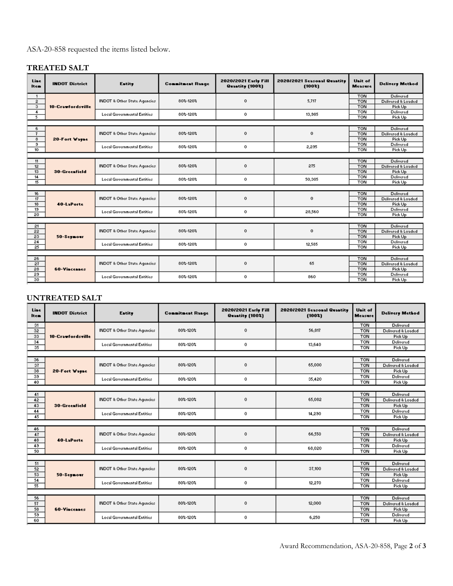ASA-20-858 requested the items listed below.

# **TREATED SALT**

| Line<br><b>Item</b> | <b>INDOT District</b> | Entity                                        | <b>Connitnent Range</b> | 2020/2021 Early Fill<br><b>Quantity</b> (1002) | 2020/2021 Seasonal Quantity<br>(1002) | Unit of<br><b>Measure</b> | <b>Delivery Method</b> |
|---------------------|-----------------------|-----------------------------------------------|-------------------------|------------------------------------------------|---------------------------------------|---------------------------|------------------------|
| $\mathbf{1}$        |                       |                                               |                         |                                                |                                       | <b>TON</b>                | Delivered              |
| $\overline{2}$      |                       | <b>INDOT &amp; Other State Agencies</b>       | 80%-120%                | $\mathbf 0$                                    | 5,717                                 | <b>TON</b>                | Delivered & Loaded     |
| 3                   | 10-Crawfordsville     |                                               |                         |                                                |                                       | <b>TON</b>                | Pick Up                |
| $\overline{4}$      |                       | <b>Local Governmental Entities</b>            | 80%-120%                | $\mathbf 0$                                    | 13,985                                | <b>TON</b>                | Delivered              |
| 5 <sup>2</sup>      |                       |                                               |                         |                                                |                                       | <b>TON</b>                | Pick Up                |
|                     |                       |                                               |                         |                                                |                                       |                           |                        |
| 6.                  |                       |                                               |                         | $\mathbf 0$                                    | $\mathbf{0}$                          | <b>TON</b>                | <b>Delivered</b>       |
| $\mathbf{7}$        |                       | <b>INDOT &amp; Other State Agencies</b>       | 80%-120%                |                                                |                                       | <b>TON</b>                | Delivered & Loaded     |
| 8                   | 20-Fort Wayne         |                                               |                         |                                                |                                       | <b>TON</b>                | Pick Up                |
| э                   |                       | <b>Local Governmental Entities</b>            | 80%-120%                | $\mathbf{0}$                                   | 2,235                                 | <b>TON</b>                | <b>Delivered</b>       |
| 10                  |                       |                                               |                         |                                                |                                       | <b>TON</b>                | Pick Up                |
|                     |                       |                                               |                         |                                                |                                       |                           |                        |
| 11                  |                       | INDOT & Other State Agencies<br>30-Greenfield |                         |                                                | 275                                   | <b>TON</b>                | Delivered              |
| 12                  |                       |                                               | 80%-120%                | $\mathbf{0}$                                   |                                       | <b>TON</b>                | Delivered & Loaded     |
| 13                  |                       |                                               |                         |                                                |                                       | <b>TON</b>                | Pick Up                |
| 14                  |                       | <b>Local Governmental Entities</b>            | 80%-120%                | $^{\circ}$                                     | 50,305                                | <b>TON</b>                | Delivered              |
| 15                  |                       |                                               |                         |                                                |                                       | <b>TON</b>                | Pick Up                |
|                     |                       |                                               |                         |                                                |                                       |                           |                        |
| 16                  |                       |                                               |                         | $\mathbf{0}$                                   | $\mathbf{0}$                          | <b>TON</b>                | <b>Delivered</b>       |
| 17                  |                       | <b>INDOT &amp; Other State Agencies</b>       | 80%-120%                |                                                |                                       | <b>TON</b>                | Delivered & Loaded     |
| 18                  | 40-LaPorte            |                                               |                         |                                                |                                       | <b>TON</b>                | Pick Up                |
| 13                  |                       | <b>Local Governmental Entities</b>            | 80%-120%                | $\mathbf{0}$                                   | 28,560                                | <b>TON</b>                | Delivered              |
| 20                  |                       |                                               |                         |                                                |                                       | <b>TON</b>                | Pick Up                |
|                     |                       |                                               |                         |                                                |                                       |                           |                        |
| 21                  |                       |                                               |                         |                                                |                                       | <b>TON</b>                | <b>Delivered</b>       |
| 22                  |                       | <b>INDOT &amp; Other State Agencies</b>       | 80%-120%                | $\mathbf 0$                                    | $\mathbf{0}$                          | <b>TON</b>                | Delivered & Loaded     |
| 23                  | 50-Seymour            |                                               |                         |                                                |                                       | <b>TON</b>                | Pick Up                |
| 24                  |                       | <b>Local Governmental Entities</b>            | 80%-120%                | $^{\circ}$                                     | 12,585                                | <b>TON</b>                | Delivered              |
| $\overline{25}$     |                       |                                               |                         |                                                |                                       | <b>TON</b>                | Pick Up                |
|                     |                       |                                               |                         |                                                |                                       |                           |                        |
| 26                  |                       |                                               | 80%-120%                |                                                | 65                                    | <b>TON</b>                | <b>Delivered</b>       |
| 27                  |                       | INDOT & Other State Agencies                  |                         | $\mathbf 0$                                    |                                       | <b>TON</b>                | Delivered & Loaded     |
| 28                  | <b>60-Vincennes</b>   |                                               |                         |                                                |                                       | <b>TON</b><br><b>TON</b>  | Pick Up                |
| 29                  |                       | <b>Local Governmental Entities</b>            | 80%-120%                | $\mathbf{0}$                                   | 860                                   | <b>TON</b>                | Delivered              |
| 30                  |                       |                                               |                         |                                                |                                       |                           | Pick Up                |

# **UNTREATED SALT**

| <b>Line</b><br><b>Item</b> | <b>INDOT District</b> | Entity                                                   | <b>Connitnent Range</b> | 2020/2021 Early Fill<br><b>Quantity</b> (1002) | 2020/2021 Seasonal Quantity<br>(1002) | Unit of<br><b>Measure</b> | <b>Delivery Method</b> |
|----------------------------|-----------------------|----------------------------------------------------------|-------------------------|------------------------------------------------|---------------------------------------|---------------------------|------------------------|
| 31                         |                       |                                                          |                         |                                                |                                       | <b>TON</b>                | Delivered              |
| 32                         |                       | <b>INDOT &amp; Other State Agencies</b>                  | 80%-120%                | 0                                              | 56,817                                | <b>TON</b>                | Delivered & Loaded     |
| 33                         | 10-Crawfordsville     |                                                          |                         |                                                |                                       | <b>TON</b>                | Pick Up                |
| 34                         |                       | <b>Local Governmental Entities</b>                       | 80%-120%                | 0                                              | 13,640                                | <b>TON</b>                | Delivered              |
| 35                         |                       |                                                          |                         |                                                |                                       | <b>TON</b>                | Pick Up                |
|                            |                       |                                                          |                         |                                                |                                       |                           |                        |
| 36                         |                       |                                                          |                         | 0                                              | 65,000                                | <b>TON</b>                | Delivered              |
| 37                         |                       | <b>INDOT &amp; Other State Agencies</b>                  | 802-1202                |                                                |                                       | <b>TON</b>                | Delivered & Loaded     |
| 38                         | 20-Fort Wayne         |                                                          |                         |                                                |                                       | <b>TON</b>                | Pick Up                |
| 39                         |                       | <b>Local Governmental Entities</b>                       | 80% 120%                | 0                                              | 35,420                                | <b>TON</b>                | <b>Delivered</b>       |
| 40                         |                       |                                                          |                         |                                                |                                       | <b>TON</b>                | Pick Up                |
|                            |                       |                                                          |                         |                                                |                                       |                           |                        |
| 41                         |                       | <b>INDOT &amp; Other State Agencies</b><br>30-Greenfield |                         |                                                | 65,082                                | <b>TON</b>                | <b>Delivered</b>       |
| 42                         |                       |                                                          | 80%-120%                | 0                                              |                                       | <b>TON</b>                | Delivered & Loaded     |
| 43                         |                       |                                                          |                         |                                                |                                       | <b>TON</b>                | Pick Up                |
| 44<br>45                   |                       | <b>Local Governmental Entities</b>                       | 80%-120%                | 0                                              | 14,290                                | <b>TON</b>                | Delivered              |
|                            |                       |                                                          |                         |                                                |                                       | <b>TON</b>                | Pick Up                |
|                            |                       |                                                          |                         |                                                |                                       | <b>TON</b>                | <b>Delivered</b>       |
| 46<br>47                   |                       | <b>INDOT &amp; Other State Agencies</b>                  | 802-1202                | 0                                              | 66,550                                | <b>TON</b>                | Delivered & Loaded     |
| 48                         | 40-LaPorte            |                                                          |                         |                                                | <b>TON</b>                            | Pick Up                   |                        |
| 43                         |                       |                                                          |                         |                                                |                                       | <b>TON</b>                | Delivered              |
| 50                         |                       | <b>Local Governmental Entities</b>                       | 80% 120%                | 0                                              | 68,020                                | <b>TON</b>                | Pick Up                |
|                            |                       |                                                          |                         |                                                |                                       |                           |                        |
| 51                         |                       |                                                          |                         |                                                |                                       | <b>TON</b>                | <b>Delivered</b>       |
| 52                         |                       | <b>INDOT &amp; Other State Agencies</b><br>80%-120%<br>0 |                         | 37,100                                         | <b>TON</b>                            | Delivered & Loaded        |                        |
| 53                         | 50-Seymour            |                                                          |                         |                                                |                                       | <b>TON</b>                | Pick Up                |
| 54                         |                       |                                                          |                         |                                                |                                       | <b>TON</b>                | Delivered              |
| 55                         |                       | <b>Local Governmental Entities</b>                       | 80%-120%                | 0                                              | 12,270                                | <b>TON</b>                | Pick Up                |
|                            |                       |                                                          |                         |                                                |                                       |                           |                        |
| 56                         |                       |                                                          |                         |                                                | 12,000                                | <b>TON</b>                | Delivered              |
| 57                         |                       | <b>INDOT &amp; Other State Agencies</b>                  | 80%-120%                | 0                                              |                                       | <b>TON</b>                | Delivered & Loaded     |
| 58                         | <b>60-Vincennes</b>   |                                                          |                         |                                                |                                       | <b>TON</b>                | Pick Up                |
| 59                         |                       | <b>Local Governmental Entities</b>                       | 80% 120%                | 0                                              | 6,250                                 | <b>TON</b>                | Delivered              |
| 60                         |                       |                                                          |                         |                                                |                                       | <b>TON</b>                | Pick Up                |